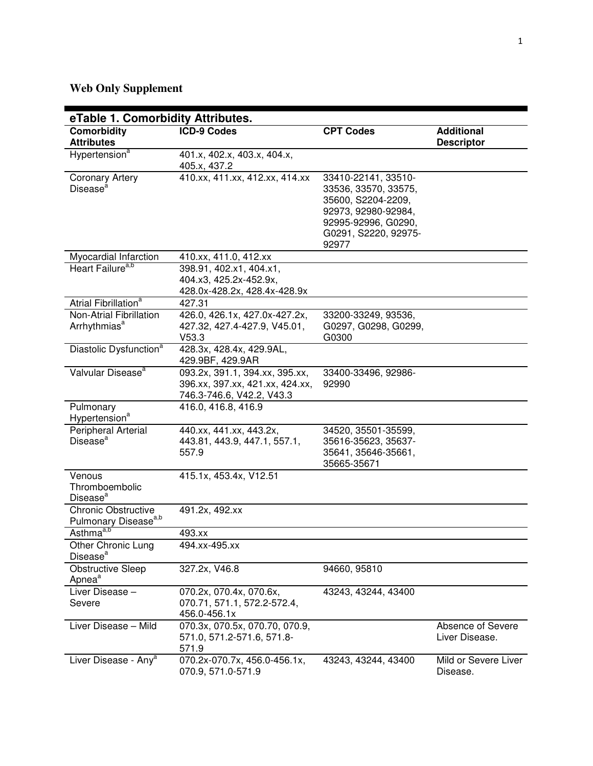# **Web Only Supplement**

| eTable 1. Comorbidity Attributes.                              |                                                                                                |                                                                                                                                                  |                                        |
|----------------------------------------------------------------|------------------------------------------------------------------------------------------------|--------------------------------------------------------------------------------------------------------------------------------------------------|----------------------------------------|
| <b>Comorbidity</b><br><b>Attributes</b>                        | <b>ICD-9 Codes</b>                                                                             | <b>CPT Codes</b>                                                                                                                                 | <b>Additional</b><br><b>Descriptor</b> |
| Hypertension <sup>a</sup>                                      | 401.x, 402.x, 403.x, 404.x,<br>405.x, 437.2                                                    |                                                                                                                                                  |                                        |
| <b>Coronary Artery</b><br>Disease <sup>a</sup>                 | 410.xx, 411.xx, 412.xx, 414.xx                                                                 | 33410-22141, 33510-<br>33536, 33570, 33575,<br>35600, S2204-2209,<br>92973, 92980-92984,<br>92995-92996, G0290,<br>G0291, S2220, 92975-<br>92977 |                                        |
| Myocardial Infarction                                          | 410.xx, 411.0, 412.xx                                                                          |                                                                                                                                                  |                                        |
| Heart Failure <sup>a,b</sup>                                   | 398.91, 402.x1, 404.x1,<br>404.x3, 425.2x-452.9x,<br>428.0x-428.2x, 428.4x-428.9x              |                                                                                                                                                  |                                        |
| Atrial Fibrillation <sup>a</sup>                               | 427.31                                                                                         |                                                                                                                                                  |                                        |
| Non-Atrial Fibrillation<br>Arrhythmias <sup>a</sup>            | 426.0, 426.1x, 427.0x-427.2x,<br>427.32, 427.4-427.9, V45.01,<br>V53.3                         | 33200-33249, 93536,<br>G0297, G0298, G0299,<br>G0300                                                                                             |                                        |
| Diastolic Dysfunction <sup>a</sup>                             | 428.3x, 428.4x, 429.9AL,<br>429.9BF, 429.9AR                                                   |                                                                                                                                                  |                                        |
| Valvular Disease <sup>a</sup>                                  | 093.2x, 391.1, 394.xx, 395.xx,<br>396.xx, 397.xx, 421.xx, 424.xx,<br>746.3-746.6, V42.2, V43.3 | 33400-33496, 92986-<br>92990                                                                                                                     |                                        |
| Pulmonary<br>Hypertension <sup>a</sup>                         | 416.0, 416.8, 416.9                                                                            |                                                                                                                                                  |                                        |
| Peripheral Arterial<br>Disease <sup>a</sup>                    | 440.xx, 441.xx, 443.2x,<br>443.81, 443.9, 447.1, 557.1,<br>557.9                               | 34520, 35501-35599,<br>35616-35623, 35637-<br>35641, 35646-35661,<br>35665-35671                                                                 |                                        |
| Venous<br>Thromboembolic<br>Disease <sup>a</sup>               | 415.1x, 453.4x, V12.51                                                                         |                                                                                                                                                  |                                        |
| <b>Chronic Obstructive</b><br>Pulmonary Disease <sup>a,b</sup> | 491.2x, 492.xx                                                                                 |                                                                                                                                                  |                                        |
| Asthma <sup>a,b</sup>                                          | 493.xx                                                                                         |                                                                                                                                                  |                                        |
| Other Chronic Lung<br>Disease <sup>a</sup>                     | 494.xx-495.xx                                                                                  |                                                                                                                                                  |                                        |
| <b>Obstructive Sleep</b><br>Apnea <sup>a</sup>                 | 327.2x, V46.8                                                                                  | 94660, 95810                                                                                                                                     |                                        |
| Liver Disease -<br>Severe                                      | 070.2x, 070.4x, 070.6x,<br>070.71, 571.1, 572.2-572.4,<br>456.0-456.1x                         | 43243, 43244, 43400                                                                                                                              |                                        |
| Liver Disease - Mild                                           | 070.3x, 070.5x, 070.70, 070.9,<br>571.0, 571.2-571.6, 571.8-<br>571.9                          |                                                                                                                                                  | Absence of Severe<br>Liver Disease.    |
| Liver Disease - Any <sup>a</sup>                               | 070.2x-070.7x, 456.0-456.1x,<br>070.9, 571.0-571.9                                             | 43243, 43244, 43400                                                                                                                              | Mild or Severe Liver<br>Disease.       |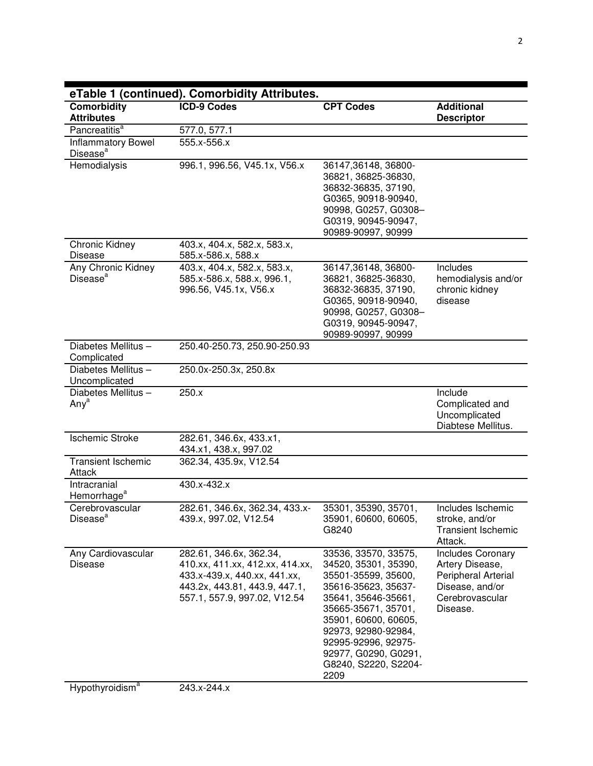| <b>ICD-9 Codes</b><br>577.0, 577.1<br>555.x-556.x<br>996.1, 996.56, V45.1x, V56.x                                                                           | <b>CPT Codes</b><br>36147,36148, 36800-<br>36821, 36825-36830,<br>36832-36835, 37190,<br>G0365, 90918-90940,                                                                                                                                                           | <b>Additional</b><br><b>Descriptor</b>                                                                               |
|-------------------------------------------------------------------------------------------------------------------------------------------------------------|------------------------------------------------------------------------------------------------------------------------------------------------------------------------------------------------------------------------------------------------------------------------|----------------------------------------------------------------------------------------------------------------------|
|                                                                                                                                                             |                                                                                                                                                                                                                                                                        |                                                                                                                      |
|                                                                                                                                                             |                                                                                                                                                                                                                                                                        |                                                                                                                      |
|                                                                                                                                                             |                                                                                                                                                                                                                                                                        |                                                                                                                      |
|                                                                                                                                                             | G0319, 90945-90947,<br>90989-90997, 90999                                                                                                                                                                                                                              |                                                                                                                      |
| 585.x-586.x, 588.x                                                                                                                                          |                                                                                                                                                                                                                                                                        |                                                                                                                      |
| 585.x-586.x, 588.x, 996.1,<br>996.56, V45.1x, V56.x                                                                                                         | 36147,36148, 36800-<br>36821, 36825-36830,<br>36832-36835, 37190,<br>G0365, 90918-90940,<br>90998, G0257, G0308-<br>G0319, 90945-90947,<br>90989-90997, 90999                                                                                                          | Includes<br>hemodialysis and/or<br>chronic kidney<br>disease                                                         |
| 250.40-250.73, 250.90-250.93                                                                                                                                |                                                                                                                                                                                                                                                                        |                                                                                                                      |
| 250.0x-250.3x, 250.8x                                                                                                                                       |                                                                                                                                                                                                                                                                        |                                                                                                                      |
| 250.x                                                                                                                                                       |                                                                                                                                                                                                                                                                        | Include<br>Complicated and<br>Uncomplicated<br>Diabtese Mellitus.                                                    |
| 282.61, 346.6x, 433.x1,<br>434.x1, 438.x, 997.02                                                                                                            |                                                                                                                                                                                                                                                                        |                                                                                                                      |
| 362.34, 435.9x, V12.54                                                                                                                                      |                                                                                                                                                                                                                                                                        |                                                                                                                      |
| 430.x-432.x                                                                                                                                                 |                                                                                                                                                                                                                                                                        |                                                                                                                      |
| 282.61, 346.6x, 362.34, 433.x-<br>439.x, 997.02, V12.54                                                                                                     | 35301, 35390, 35701,<br>35901, 60600, 60605,<br>G8240                                                                                                                                                                                                                  | Includes Ischemic<br>stroke, and/or<br><b>Transient Ischemic</b><br>Attack.                                          |
| 282.61, 346.6x, 362.34,<br>410.xx, 411.xx, 412.xx, 414.xx,<br>433.x-439.x, 440.xx, 441.xx,<br>443.2x, 443.81, 443.9, 447.1,<br>557.1, 557.9, 997.02, V12.54 | 33536, 33570, 33575,<br>34520, 35301, 35390,<br>35501-35599, 35600,<br>35616-35623, 35637-<br>35641, 35646-35661,<br>35665-35671, 35701,<br>35901, 60600, 60605,<br>92973, 92980-92984,<br>92995-92996, 92975-<br>92977, G0290, G0291,<br>G8240, S2220, S2204-<br>2209 | <b>Includes Coronary</b><br>Artery Disease,<br>Peripheral Arterial<br>Disease, and/or<br>Cerebrovascular<br>Disease. |
|                                                                                                                                                             | 403.x, 404.x, 582.x, 583.x,<br>403.x, 404.x, 582.x, 583.x,                                                                                                                                                                                                             | 90998, G0257, G0308-                                                                                                 |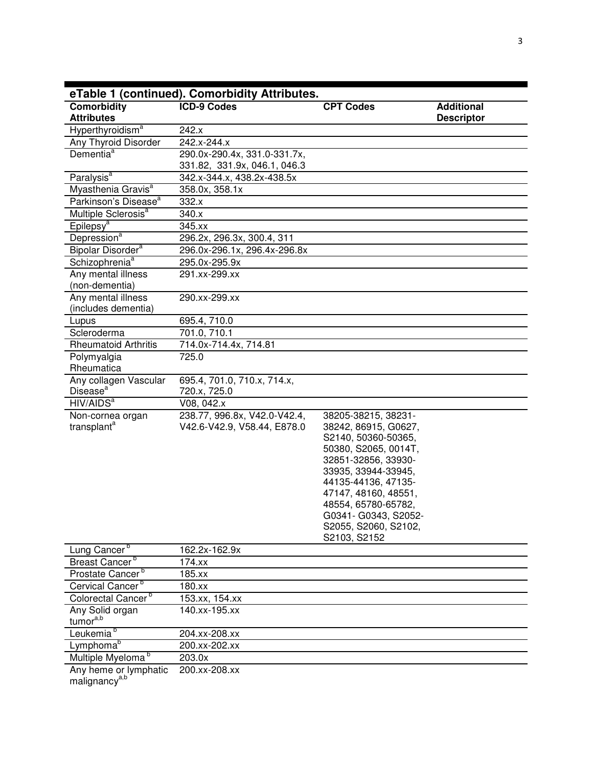|                                                    | eTable 1 (continued). Comorbidity Attributes.                |                                                                                                                                                                                                                                                                                |                                        |
|----------------------------------------------------|--------------------------------------------------------------|--------------------------------------------------------------------------------------------------------------------------------------------------------------------------------------------------------------------------------------------------------------------------------|----------------------------------------|
| Comorbidity<br><b>Attributes</b>                   | <b>ICD-9 Codes</b>                                           | <b>CPT Codes</b>                                                                                                                                                                                                                                                               | <b>Additional</b><br><b>Descriptor</b> |
| Hyperthyroidism <sup>a</sup>                       | 242.x                                                        |                                                                                                                                                                                                                                                                                |                                        |
| Any Thyroid Disorder                               | 242.x-244.x                                                  |                                                                                                                                                                                                                                                                                |                                        |
| Dementia <sup>a</sup>                              | 290.0x-290.4x, 331.0-331.7x,<br>331.82, 331.9x, 046.1, 046.3 |                                                                                                                                                                                                                                                                                |                                        |
| Paralysis <sup>a</sup>                             | 342.x-344.x, 438.2x-438.5x                                   |                                                                                                                                                                                                                                                                                |                                        |
| Myasthenia Gravis <sup>a</sup>                     | 358.0x, 358.1x                                               |                                                                                                                                                                                                                                                                                |                                        |
| Parkinson's Disease <sup>a</sup>                   | 332.x                                                        |                                                                                                                                                                                                                                                                                |                                        |
| Multiple Sclerosis <sup>a</sup>                    | 340.x                                                        |                                                                                                                                                                                                                                                                                |                                        |
| Epilepsy <sup>a</sup>                              | 345.xx                                                       |                                                                                                                                                                                                                                                                                |                                        |
| Depression <sup>a</sup>                            | 296.2x, 296.3x, 300.4, 311                                   |                                                                                                                                                                                                                                                                                |                                        |
| Bipolar Disorder <sup>a</sup>                      | 296.0x-296.1x, 296.4x-296.8x                                 |                                                                                                                                                                                                                                                                                |                                        |
| Schizophrenia <sup>a</sup>                         | 295.0x-295.9x                                                |                                                                                                                                                                                                                                                                                |                                        |
| Any mental illness<br>(non-dementia)               | 291.xx-299.xx                                                |                                                                                                                                                                                                                                                                                |                                        |
| Any mental illness<br>(includes dementia)          | 290.xx-299.xx                                                |                                                                                                                                                                                                                                                                                |                                        |
| Lupus                                              | 695.4, 710.0                                                 |                                                                                                                                                                                                                                                                                |                                        |
| Scleroderma                                        | 701.0, 710.1                                                 |                                                                                                                                                                                                                                                                                |                                        |
| <b>Rheumatoid Arthritis</b>                        | 714.0x-714.4x, 714.81                                        |                                                                                                                                                                                                                                                                                |                                        |
| Polymyalgia<br>Rheumatica                          | 725.0                                                        |                                                                                                                                                                                                                                                                                |                                        |
| Any collagen Vascular<br>Disease <sup>a</sup>      | 695.4, 701.0, 710.x, 714.x,<br>720.x, 725.0                  |                                                                                                                                                                                                                                                                                |                                        |
| HIV/AIDS <sup>a</sup>                              | V08, 042.x                                                   |                                                                                                                                                                                                                                                                                |                                        |
| Non-cornea organ<br>transplant <sup>a</sup>        | 238.77, 996.8x, V42.0-V42.4,<br>V42.6-V42.9, V58.44, E878.0  | 38205-38215, 38231-<br>38242, 86915, G0627,<br>S2140, 50360-50365,<br>50380, S2065, 0014T,<br>32851-32856, 33930-<br>33935, 33944-33945,<br>44135-44136, 47135-<br>47147, 48160, 48551,<br>48554, 65780-65782,<br>G0341- G0343, S2052-<br>S2055, S2060, S2102,<br>S2103, S2152 |                                        |
| Lung Cancer <sup>b</sup>                           | 162.2x-162.9x                                                |                                                                                                                                                                                                                                                                                |                                        |
| Breast Cancer <sup>b</sup>                         | 174.xx                                                       |                                                                                                                                                                                                                                                                                |                                        |
| Prostate Cancer <sup>b</sup>                       | 185.xx                                                       |                                                                                                                                                                                                                                                                                |                                        |
| Cervical Cancer <sup>b</sup>                       | 180.xx                                                       |                                                                                                                                                                                                                                                                                |                                        |
| Colorectal Cancer <sup>b</sup>                     | 153.xx, 154.xx                                               |                                                                                                                                                                                                                                                                                |                                        |
| Any Solid organ<br>tumora,b                        | 140.xx-195.xx                                                |                                                                                                                                                                                                                                                                                |                                        |
| Leukemia <sup>b</sup>                              | 204.xx-208.xx                                                |                                                                                                                                                                                                                                                                                |                                        |
| Lymphoma <sup>b</sup>                              | 200.xx-202.xx                                                |                                                                                                                                                                                                                                                                                |                                        |
| Multiple Myeloma <sup>b</sup>                      | 203.0x                                                       |                                                                                                                                                                                                                                                                                |                                        |
| Any heme or lymphatic<br>malignancy <sup>a,b</sup> | 200.xx-208.xx                                                |                                                                                                                                                                                                                                                                                |                                        |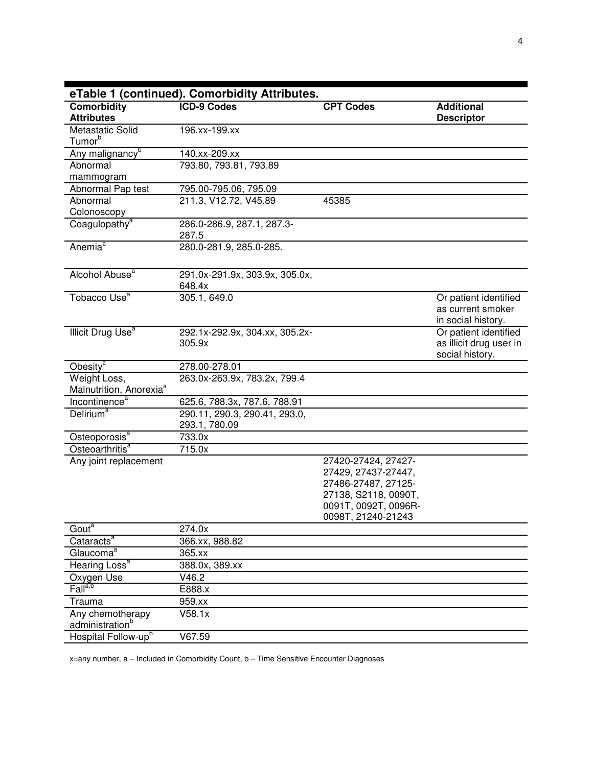|                                                     | eTable 1 (continued). Comorbidity Attributes.  |                                                                    |                                                                     |
|-----------------------------------------------------|------------------------------------------------|--------------------------------------------------------------------|---------------------------------------------------------------------|
| Comorbidity<br><b>Attributes</b>                    | <b>ICD-9 Codes</b>                             | <b>CPT Codes</b>                                                   | <b>Additional</b><br><b>Descriptor</b>                              |
| Metastatic Solid<br>Tumor <sup>b</sup>              | 196.xx-199.xx                                  |                                                                    |                                                                     |
| Any malignancy <sup>b</sup>                         | 140.xx-209.xx                                  |                                                                    |                                                                     |
| Abnormal<br>mammogram                               | 793.80, 793.81, 793.89                         |                                                                    |                                                                     |
| Abnormal Pap test                                   | 795.00-795.06, 795.09                          |                                                                    |                                                                     |
| Abnormal<br>Colonoscopy                             | 211.3, V12.72, V45.89                          | 45385                                                              |                                                                     |
| Coagulopathy <sup>a</sup>                           | 286.0-286.9, 287.1, 287.3-<br>287.5            |                                                                    |                                                                     |
| Anemia <sup>a</sup>                                 | 280.0-281.9, 285.0-285.                        |                                                                    |                                                                     |
| Alcohol Abuse <sup>a</sup>                          | 291.0x-291.9x, 303.9x, 305.0x,<br>648.4x       |                                                                    |                                                                     |
| Tobacco Use <sup>a</sup>                            | 305.1, 649.0                                   |                                                                    | Or patient identified<br>as current smoker<br>in social history.    |
| Illicit Drug Use <sup>a</sup>                       | 292.1x-292.9x, 304.xx, 305.2x-<br>305.9x       |                                                                    | Or patient identified<br>as illicit drug user in<br>social history. |
| Obesity <sup>a</sup>                                | 278.00-278.01                                  |                                                                    |                                                                     |
| Weight Loss,<br>Malnutrition, Anorexia <sup>a</sup> | 263.0x-263.9x, 783.2x, 799.4                   |                                                                    |                                                                     |
| Incontinence <sup>a</sup>                           | 625.6, 788.3x, 787.6, 788.91                   |                                                                    |                                                                     |
| Delirium <sup>a</sup>                               | 290.11, 290.3, 290.41, 293.0,<br>293.1, 780.09 |                                                                    |                                                                     |
| Osteoporosis <sup>a</sup>                           | 733.0x                                         |                                                                    |                                                                     |
| Osteoarthritis <sup>a</sup>                         | 715.0x                                         |                                                                    |                                                                     |
| Any joint replacement                               |                                                | 27420-27424, 27427-<br>27429, 27437-27447,<br>27486-27487, 27125-  |                                                                     |
|                                                     |                                                | 27138, S2118, 0090T,<br>0091T, 0092T, 0096R-<br>0098T, 21240-21243 |                                                                     |
| Gout <sup>a</sup>                                   | 274.0x                                         |                                                                    |                                                                     |
| Cataracts <sup>a</sup>                              | 366.xx, 988.82                                 |                                                                    |                                                                     |
| Glaucoma <sup>a</sup>                               | 365.xx                                         |                                                                    |                                                                     |
| Hearing Loss <sup>a</sup>                           | 388.0x, 389.xx                                 |                                                                    |                                                                     |
| Oxygen Use                                          | V46.2                                          |                                                                    |                                                                     |
| Fall <sup>a,b</sup>                                 | E888.x                                         |                                                                    |                                                                     |
| Trauma                                              | 959.xx                                         |                                                                    |                                                                     |
| Any chemotherapy<br>administration <sup>b</sup>     | V58.1x                                         |                                                                    |                                                                     |
| Hospital Follow-up <sup>b</sup>                     | V67.59                                         |                                                                    |                                                                     |

x=any number, a – Included in Comorbidity Count, b – Time Sensitive Encounter Diagnoses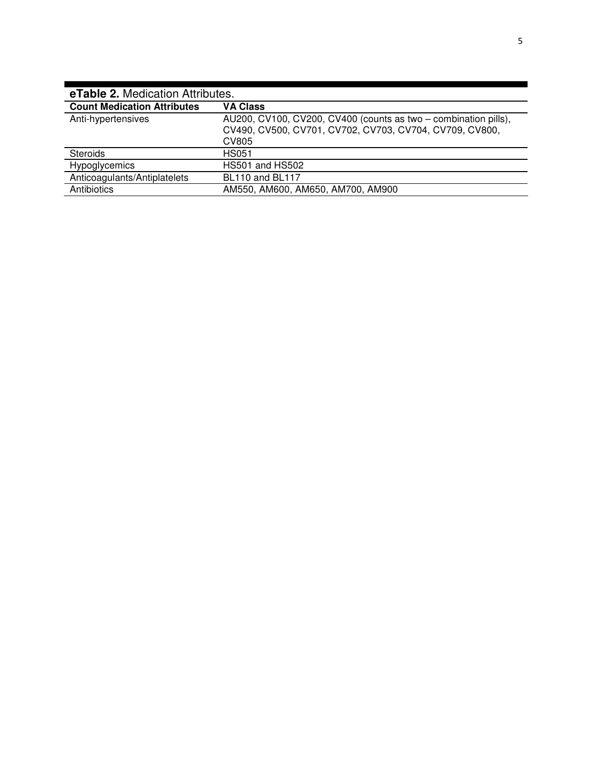| <b>eTable 2. Medication Attributes.</b> |                                                                                                                                            |  |
|-----------------------------------------|--------------------------------------------------------------------------------------------------------------------------------------------|--|
| <b>Count Medication Attributes</b>      | <b>VA Class</b>                                                                                                                            |  |
| Anti-hypertensives                      | AU200, CV100, CV200, CV400 (counts as two - combination pills),<br>CV490, CV500, CV701, CV702, CV703, CV704, CV709, CV800,<br><b>CV805</b> |  |
| <b>Steroids</b>                         | <b>HS051</b>                                                                                                                               |  |
| Hypoglycemics                           | <b>HS501 and HS502</b>                                                                                                                     |  |
| Anticoagulants/Antiplatelets            | <b>BL110 and BL117</b>                                                                                                                     |  |
| Antibiotics                             | AM550, AM600, AM650, AM700, AM900                                                                                                          |  |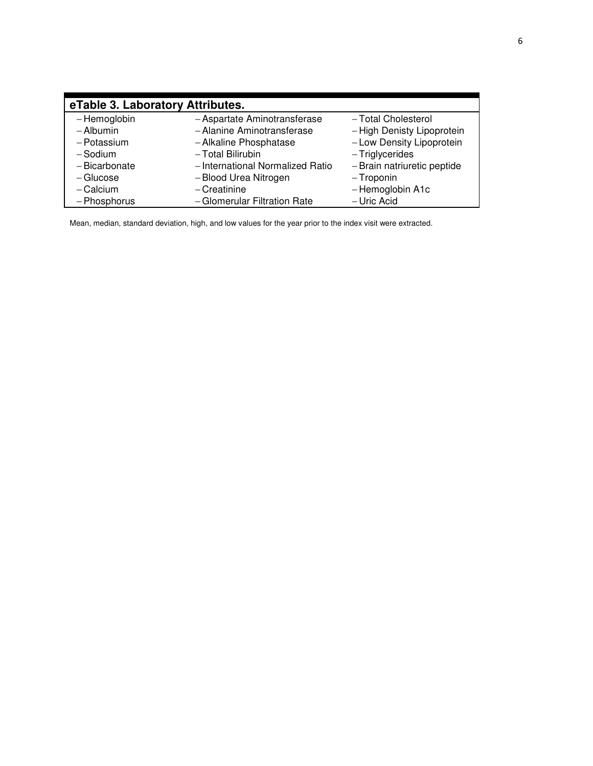| eTable 3. Laboratory Attributes. |                                  |                             |
|----------------------------------|----------------------------------|-----------------------------|
| - Hemoglobin                     | - Aspartate Aminotransferase     | -Total Cholesterol          |
| - Albumin                        | - Alanine Aminotransferase       | - High Denisty Lipoprotein  |
| - Potassium                      | - Alkaline Phosphatase           | - Low Density Lipoprotein   |
| -Sodium                          | - Total Bilirubin                | - Triglycerides             |
| - Bicarbonate                    | - International Normalized Ratio | - Brain natriuretic peptide |
| $-$ Glucose                      | -Blood Urea Nitrogen             | - Troponin                  |
| $-$ Calcium                      | $-C$ reatinine                   | - Hemoglobin A1c            |
| - Phosphorus                     | - Glomerular Filtration Rate     | - Uric Acid                 |

Mean, median, standard deviation, high, and low values for the year prior to the index visit were extracted.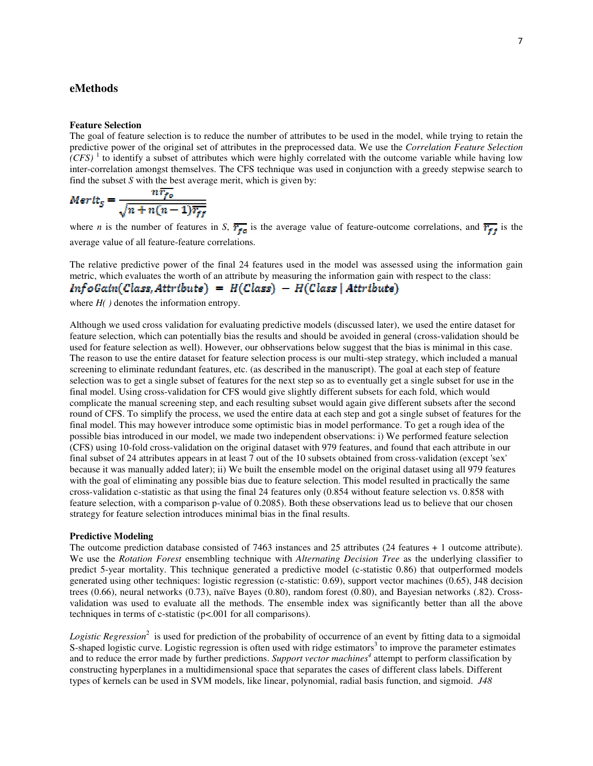## **eMethods**

### **Feature Selection**

The goal of feature selection is to reduce the number of attributes to be used in the model, while trying to retain the predictive power of the original set of attributes in the preprocessed data. We use the *Correlation Feature Selection*   $(CFS)^{-1}$  to identify a subset of attributes which were highly correlated with the outcome variable while having low inter-correlation amongst themselves. The CFS technique was used in conjunction with a greedy stepwise search to find the subset *S* with the best average merit, which is given by:

$$
Mertt_S = \frac{nr_{fo}}{\sqrt{n + n(n-1)\overline{r_{ff}}}}
$$

where *n* is the number of features in *S*,  $\overline{r_{fg}}$  is the average value of feature-outcome correlations, and  $\overline{r_{ff}}$  is the average value of all feature-feature correlations.

The relative predictive power of the final 24 features used in the model was assessed using the information gain metric, which evaluates the worth of an attribute by measuring the information gain with respect to the class:<br> $\ln f \sigma G \alpha \ln (Class, Attribute) = H(Class) - H(Class | Attribute)$ 

where *H( )* denotes the information entropy.

Although we used cross validation for evaluating predictive models (discussed later), we used the entire dataset for feature selection, which can potentially bias the results and should be avoided in general (cross-validation should be used for feature selection as well). However, our obhservations below suggest that the bias is minimal in this case. The reason to use the entire dataset for feature selection process is our multi-step strategy, which included a manual screening to eliminate redundant features, etc. (as described in the manuscript). The goal at each step of feature selection was to get a single subset of features for the next step so as to eventually get a single subset for use in the final model. Using cross-validation for CFS would give slightly different subsets for each fold, which would complicate the manual screening step, and each resulting subset would again give different subsets after the second round of CFS. To simplify the process, we used the entire data at each step and got a single subset of features for the final model. This may however introduce some optimistic bias in model performance. To get a rough idea of the possible bias introduced in our model, we made two independent observations: i) We performed feature selection (CFS) using 10-fold cross-validation on the original dataset with 979 features, and found that each attribute in our final subset of 24 attributes appears in at least 7 out of the 10 subsets obtained from cross-validation (except 'sex' because it was manually added later); ii) We built the ensemble model on the original dataset using all 979 features with the goal of eliminating any possible bias due to feature selection. This model resulted in practically the same cross-validation c-statistic as that using the final 24 features only (0.854 without feature selection vs. 0.858 with feature selection, with a comparison p-value of 0.2085). Both these observations lead us to believe that our chosen strategy for feature selection introduces minimal bias in the final results.

### **Predictive Modeling**

The outcome prediction database consisted of 7463 instances and 25 attributes (24 features + 1 outcome attribute). We use the *Rotation Forest* ensembling technique with *Alternating Decision Tree* as the underlying classifier to predict 5-year mortality. This technique generated a predictive model (c-statistic 0.86) that outperformed models generated using other techniques: logistic regression (c-statistic: 0.69), support vector machines (0.65), J48 decision trees (0.66), neural networks (0.73), naïve Bayes (0.80), random forest (0.80), and Bayesian networks (.82). Crossvalidation was used to evaluate all the methods. The ensemble index was significantly better than all the above techniques in terms of c-statistic (p<.001 for all comparisons).

Logistic Regression<sup>2</sup> is used for prediction of the probability of occurrence of an event by fitting data to a sigmoidal S-shaped logistic curve. Logistic regression is often used with ridge estimators<sup>3</sup> to improve the parameter estimates and to reduce the error made by further predictions. *Support vector machines<sup>4</sup>* attempt to perform classification by constructing hyperplanes in a multidimensional space that separates the cases of different class labels. Different types of kernels can be used in SVM models, like linear, polynomial, radial basis function, and sigmoid. *J48*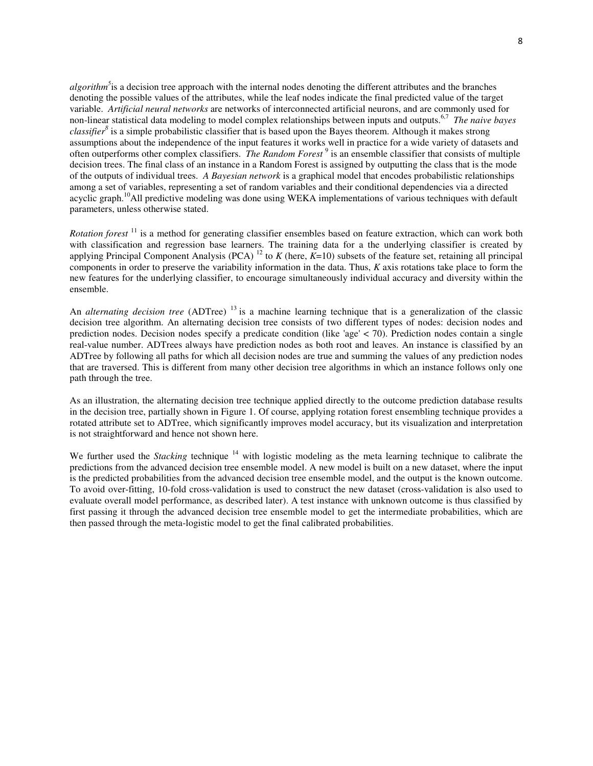*algorithm<sup>5</sup>* is a decision tree approach with the internal nodes denoting the different attributes and the branches denoting the possible values of the attributes, while the leaf nodes indicate the final predicted value of the target variable. *Artificial neural networks* are networks of interconnected artificial neurons, and are commonly used for non-linear statistical data modeling to model complex relationships between inputs and outputs.6,7 *The naive bayes classifier<sup>8</sup>* is a simple probabilistic classifier that is based upon the Bayes theorem. Although it makes strong assumptions about the independence of the input features it works well in practice for a wide variety of datasets and often outperforms other complex classifiers. *The Random Forest*<sup>9</sup> is an ensemble classifier that consists of multiple decision trees. The final class of an instance in a Random Forest is assigned by outputting the class that is the mode of the outputs of individual trees. *A Bayesian network* is a graphical model that encodes probabilistic relationships among a set of variables, representing a set of random variables and their conditional dependencies via a directed acyclic graph.<sup>10</sup>All predictive modeling was done using WEKA implementations of various techniques with default parameters, unless otherwise stated.

*Rotation forest*<sup>11</sup> is a method for generating classifier ensembles based on feature extraction, which can work both with classification and regression base learners. The training data for a the underlying classifier is created by applying Principal Component Analysis (PCA)  $^{12}$  to  $K$  (here,  $K=10$ ) subsets of the feature set, retaining all principal components in order to preserve the variability information in the data. Thus, *K* axis rotations take place to form the new features for the underlying classifier, to encourage simultaneously individual accuracy and diversity within the ensemble.

An *alternating decision tree* (ADTree)<sup>13</sup> is a machine learning technique that is a generalization of the classic decision tree algorithm. An alternating decision tree consists of two different types of nodes: decision nodes and prediction nodes. Decision nodes specify a predicate condition (like 'age' < 70). Prediction nodes contain a single real-value number. ADTrees always have prediction nodes as both root and leaves. An instance is classified by an ADTree by following all paths for which all decision nodes are true and summing the values of any prediction nodes that are traversed. This is different from many other decision tree algorithms in which an instance follows only one path through the tree.

As an illustration, the alternating decision tree technique applied directly to the outcome prediction database results in the decision tree, partially shown in Figure 1. Of course, applying rotation forest ensembling technique provides a rotated attribute set to ADTree, which significantly improves model accuracy, but its visualization and interpretation is not straightforward and hence not shown here.

We further used the *Stacking* technique <sup>14</sup> with logistic modeling as the meta learning technique to calibrate the predictions from the advanced decision tree ensemble model. A new model is built on a new dataset, where the input is the predicted probabilities from the advanced decision tree ensemble model, and the output is the known outcome. To avoid over-fitting, 10-fold cross-validation is used to construct the new dataset (cross-validation is also used to evaluate overall model performance, as described later). A test instance with unknown outcome is thus classified by first passing it through the advanced decision tree ensemble model to get the intermediate probabilities, which are then passed through the meta-logistic model to get the final calibrated probabilities.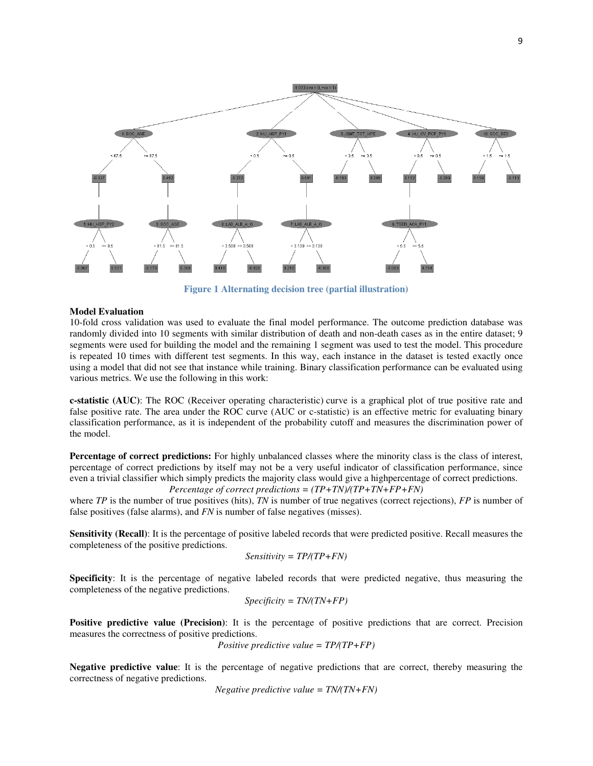

**Figure 1 Alternating decision tree (partial illustration)** 

### **Model Evaluation**

10-fold cross validation was used to evaluate the final model performance. The outcome prediction database was randomly divided into 10 segments with similar distribution of death and non-death cases as in the entire dataset; 9 segments were used for building the model and the remaining 1 segment was used to test the model. This procedure is repeated 10 times with different test segments. In this way, each instance in the dataset is tested exactly once using a model that did not see that instance while training. Binary classification performance can be evaluated using various metrics. We use the following in this work:

**c-statistic (AUC)**: The ROC (Receiver operating characteristic) curve is a graphical plot of true positive rate and false positive rate. The area under the ROC curve (AUC or c-statistic) is an effective metric for evaluating binary classification performance, as it is independent of the probability cutoff and measures the discrimination power of the model.

**Percentage of correct predictions:** For highly unbalanced classes where the minority class is the class of interest, percentage of correct predictions by itself may not be a very useful indicator of classification performance, since even a trivial classifier which simply predicts the majority class would give a highpercentage of correct predictions. *Percentage of correct predictions = (TP+TN)/(TP+TN+FP+FN)* 

where *TP* is the number of true positives (hits), *TN* is number of true negatives (correct rejections), *FP* is number of false positives (false alarms), and *FN* is number of false negatives (misses).

**Sensitivity (Recall)**: It is the percentage of positive labeled records that were predicted positive. Recall measures the completeness of the positive predictions.

$$
Sensitivity = TP/(TP + FN)
$$

**Specificity**: It is the percentage of negative labeled records that were predicted negative, thus measuring the completeness of the negative predictions.

$$
Specificity = TN/(TN + FP)
$$

**Positive predictive value (Precision):** It is the percentage of positive predictions that are correct. Precision measures the correctness of positive predictions.

*Positive predictive value = TP/(TP+FP)* 

**Negative predictive value**: It is the percentage of negative predictions that are correct, thereby measuring the correctness of negative predictions.

*Negative predictive value = TN/(TN+FN)*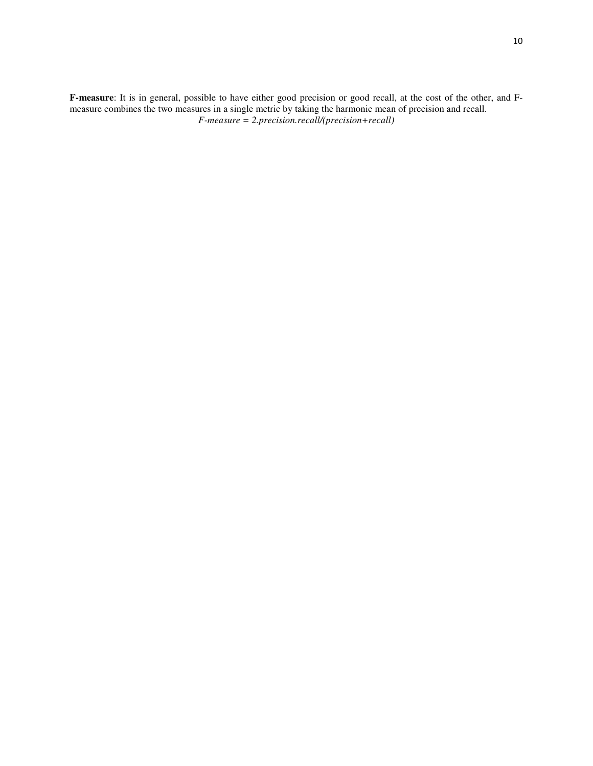**F-measure**: It is in general, possible to have either good precision or good recall, at the cost of the other, and Fmeasure combines the two measures in a single metric by taking the harmonic mean of precision and recall. *F-measure = 2.precision.recall/(precision+recall)*